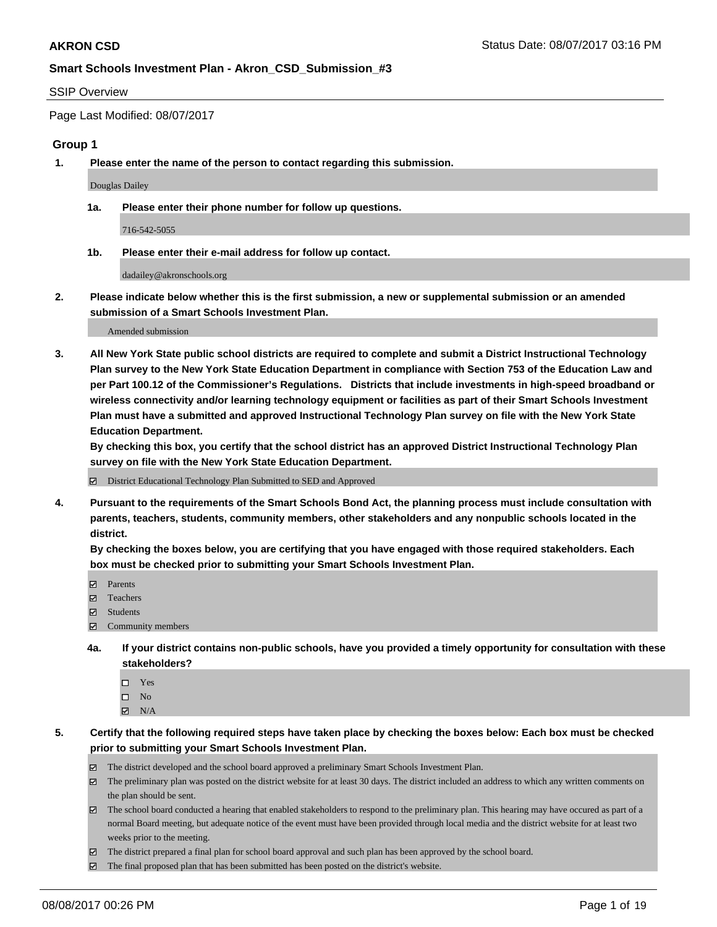#### SSIP Overview

Page Last Modified: 08/07/2017

## **Group 1**

**1. Please enter the name of the person to contact regarding this submission.**

Douglas Dailey

**1a. Please enter their phone number for follow up questions.**

716-542-5055

**1b. Please enter their e-mail address for follow up contact.**

dadailey@akronschools.org

**2. Please indicate below whether this is the first submission, a new or supplemental submission or an amended submission of a Smart Schools Investment Plan.**

Amended submission

**3. All New York State public school districts are required to complete and submit a District Instructional Technology Plan survey to the New York State Education Department in compliance with Section 753 of the Education Law and per Part 100.12 of the Commissioner's Regulations. Districts that include investments in high-speed broadband or wireless connectivity and/or learning technology equipment or facilities as part of their Smart Schools Investment Plan must have a submitted and approved Instructional Technology Plan survey on file with the New York State Education Department.** 

**By checking this box, you certify that the school district has an approved District Instructional Technology Plan survey on file with the New York State Education Department.**

District Educational Technology Plan Submitted to SED and Approved

**4. Pursuant to the requirements of the Smart Schools Bond Act, the planning process must include consultation with parents, teachers, students, community members, other stakeholders and any nonpublic schools located in the district.** 

**By checking the boxes below, you are certifying that you have engaged with those required stakeholders. Each box must be checked prior to submitting your Smart Schools Investment Plan.**

- **マ** Parents
- □ Teachers
- Students
- $\Xi$  Community members
- **4a. If your district contains non-public schools, have you provided a timely opportunity for consultation with these stakeholders?**
	- Yes
	- $\hfill \square$  No
	- $\boxtimes$  N/A
- **5. Certify that the following required steps have taken place by checking the boxes below: Each box must be checked prior to submitting your Smart Schools Investment Plan.**
	- The district developed and the school board approved a preliminary Smart Schools Investment Plan.
	- $\boxtimes$  The preliminary plan was posted on the district website for at least 30 days. The district included an address to which any written comments on the plan should be sent.
	- $\boxtimes$  The school board conducted a hearing that enabled stakeholders to respond to the preliminary plan. This hearing may have occured as part of a normal Board meeting, but adequate notice of the event must have been provided through local media and the district website for at least two weeks prior to the meeting.
	- The district prepared a final plan for school board approval and such plan has been approved by the school board.
	- $\boxtimes$  The final proposed plan that has been submitted has been posted on the district's website.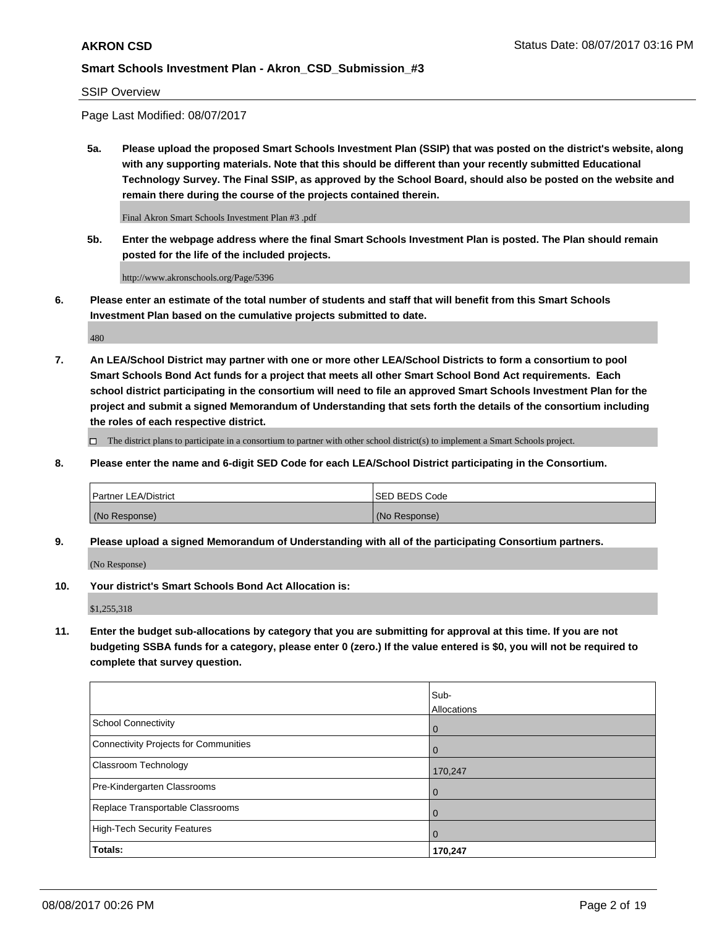SSIP Overview

Page Last Modified: 08/07/2017

**5a. Please upload the proposed Smart Schools Investment Plan (SSIP) that was posted on the district's website, along with any supporting materials. Note that this should be different than your recently submitted Educational Technology Survey. The Final SSIP, as approved by the School Board, should also be posted on the website and remain there during the course of the projects contained therein.**

Final Akron Smart Schools Investment Plan #3 .pdf

**5b. Enter the webpage address where the final Smart Schools Investment Plan is posted. The Plan should remain posted for the life of the included projects.**

http://www.akronschools.org/Page/5396

**6. Please enter an estimate of the total number of students and staff that will benefit from this Smart Schools Investment Plan based on the cumulative projects submitted to date.**

480

**7. An LEA/School District may partner with one or more other LEA/School Districts to form a consortium to pool Smart Schools Bond Act funds for a project that meets all other Smart School Bond Act requirements. Each school district participating in the consortium will need to file an approved Smart Schools Investment Plan for the project and submit a signed Memorandum of Understanding that sets forth the details of the consortium including the roles of each respective district.**

 $\Box$  The district plans to participate in a consortium to partner with other school district(s) to implement a Smart Schools project.

**8. Please enter the name and 6-digit SED Code for each LEA/School District participating in the Consortium.**

| <b>Partner LEA/District</b> | <b>ISED BEDS Code</b> |
|-----------------------------|-----------------------|
| (No Response)               | (No Response)         |

**9. Please upload a signed Memorandum of Understanding with all of the participating Consortium partners.**

(No Response)

**10. Your district's Smart Schools Bond Act Allocation is:**

\$1,255,318

**11. Enter the budget sub-allocations by category that you are submitting for approval at this time. If you are not budgeting SSBA funds for a category, please enter 0 (zero.) If the value entered is \$0, you will not be required to complete that survey question.**

|                                       | Sub-        |
|---------------------------------------|-------------|
|                                       | Allocations |
| <b>School Connectivity</b>            | 0           |
| Connectivity Projects for Communities | 0           |
| <b>Classroom Technology</b>           | 170,247     |
| Pre-Kindergarten Classrooms           | 0           |
| Replace Transportable Classrooms      | 0           |
| <b>High-Tech Security Features</b>    | 0           |
| Totals:                               | 170,247     |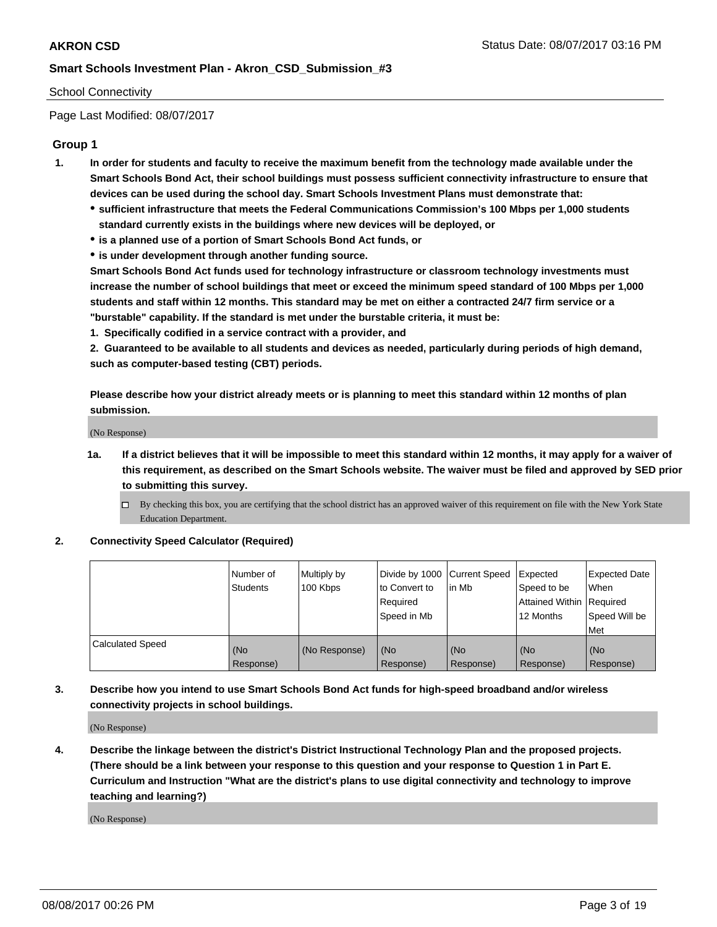#### School Connectivity

Page Last Modified: 08/07/2017

## **Group 1**

- **1. In order for students and faculty to receive the maximum benefit from the technology made available under the Smart Schools Bond Act, their school buildings must possess sufficient connectivity infrastructure to ensure that devices can be used during the school day. Smart Schools Investment Plans must demonstrate that:**
	- **sufficient infrastructure that meets the Federal Communications Commission's 100 Mbps per 1,000 students standard currently exists in the buildings where new devices will be deployed, or**
	- **is a planned use of a portion of Smart Schools Bond Act funds, or**
	- **is under development through another funding source.**

**Smart Schools Bond Act funds used for technology infrastructure or classroom technology investments must increase the number of school buildings that meet or exceed the minimum speed standard of 100 Mbps per 1,000 students and staff within 12 months. This standard may be met on either a contracted 24/7 firm service or a "burstable" capability. If the standard is met under the burstable criteria, it must be:**

**1. Specifically codified in a service contract with a provider, and**

**2. Guaranteed to be available to all students and devices as needed, particularly during periods of high demand, such as computer-based testing (CBT) periods.**

**Please describe how your district already meets or is planning to meet this standard within 12 months of plan submission.**

(No Response)

- **1a. If a district believes that it will be impossible to meet this standard within 12 months, it may apply for a waiver of this requirement, as described on the Smart Schools website. The waiver must be filed and approved by SED prior to submitting this survey.**
	- By checking this box, you are certifying that the school district has an approved waiver of this requirement on file with the New York State Education Department.

#### **2. Connectivity Speed Calculator (Required)**

|                         | Number of<br><b>Students</b> | Multiply by<br>100 Kbps | Divide by 1000   Current Speed<br>to Convert to<br>Required<br>Speed in Mb | lin Mb           | Expected<br>Speed to be<br>Attained Within Required<br>12 Months | <b>Expected Date</b><br>When<br>Speed Will be<br>Met |
|-------------------------|------------------------------|-------------------------|----------------------------------------------------------------------------|------------------|------------------------------------------------------------------|------------------------------------------------------|
| <b>Calculated Speed</b> | (No<br>Response)             | (No Response)           | (No<br>Response)                                                           | (No<br>Response) | (No<br>Response)                                                 | (No<br>Response)                                     |

## **3. Describe how you intend to use Smart Schools Bond Act funds for high-speed broadband and/or wireless connectivity projects in school buildings.**

(No Response)

**4. Describe the linkage between the district's District Instructional Technology Plan and the proposed projects. (There should be a link between your response to this question and your response to Question 1 in Part E. Curriculum and Instruction "What are the district's plans to use digital connectivity and technology to improve teaching and learning?)**

(No Response)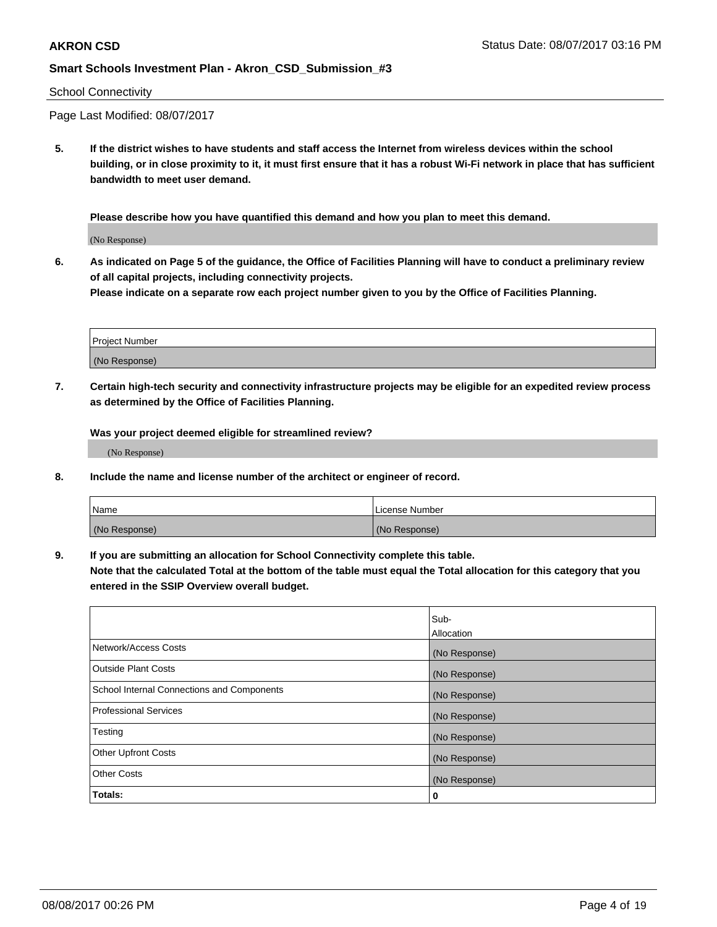#### School Connectivity

Page Last Modified: 08/07/2017

**5. If the district wishes to have students and staff access the Internet from wireless devices within the school building, or in close proximity to it, it must first ensure that it has a robust Wi-Fi network in place that has sufficient bandwidth to meet user demand.**

**Please describe how you have quantified this demand and how you plan to meet this demand.**

(No Response)

**6. As indicated on Page 5 of the guidance, the Office of Facilities Planning will have to conduct a preliminary review of all capital projects, including connectivity projects.**

**Please indicate on a separate row each project number given to you by the Office of Facilities Planning.**

| Project Number |  |
|----------------|--|
|                |  |
| (No Response)  |  |

**7. Certain high-tech security and connectivity infrastructure projects may be eligible for an expedited review process as determined by the Office of Facilities Planning.**

**Was your project deemed eligible for streamlined review?**

(No Response)

**8. Include the name and license number of the architect or engineer of record.**

| Name          | License Number |
|---------------|----------------|
| (No Response) | (No Response)  |

**9. If you are submitting an allocation for School Connectivity complete this table.**

**Note that the calculated Total at the bottom of the table must equal the Total allocation for this category that you entered in the SSIP Overview overall budget.** 

|                                            | Sub-          |
|--------------------------------------------|---------------|
|                                            | Allocation    |
| Network/Access Costs                       | (No Response) |
| <b>Outside Plant Costs</b>                 | (No Response) |
| School Internal Connections and Components | (No Response) |
| <b>Professional Services</b>               | (No Response) |
| Testing                                    | (No Response) |
| <b>Other Upfront Costs</b>                 | (No Response) |
| <b>Other Costs</b>                         | (No Response) |
| Totals:                                    | 0             |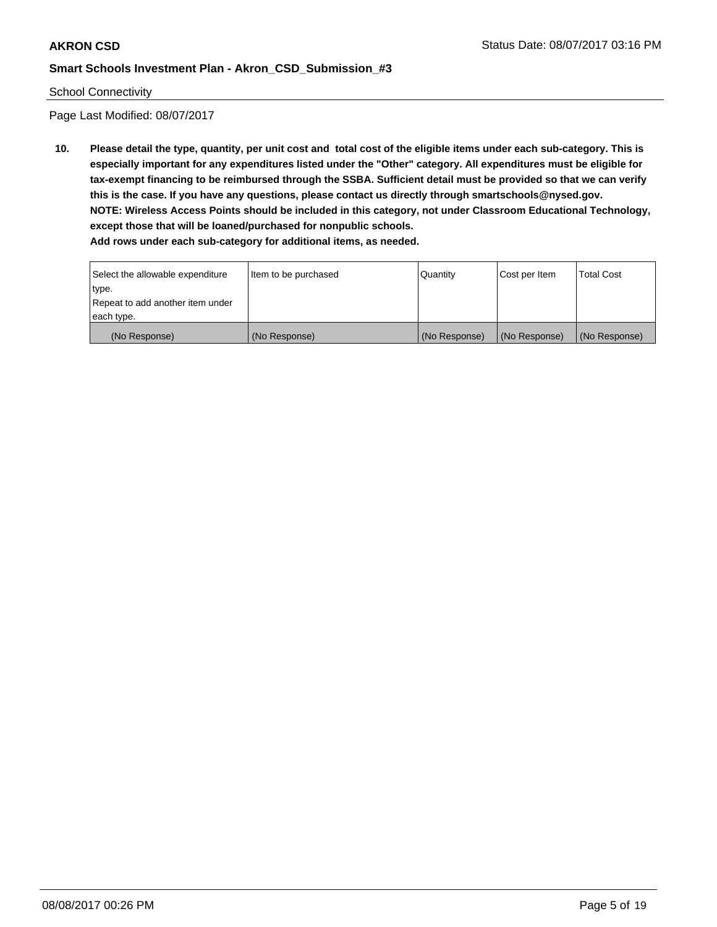#### School Connectivity

Page Last Modified: 08/07/2017

**10. Please detail the type, quantity, per unit cost and total cost of the eligible items under each sub-category. This is especially important for any expenditures listed under the "Other" category. All expenditures must be eligible for tax-exempt financing to be reimbursed through the SSBA. Sufficient detail must be provided so that we can verify this is the case. If you have any questions, please contact us directly through smartschools@nysed.gov. NOTE: Wireless Access Points should be included in this category, not under Classroom Educational Technology, except those that will be loaned/purchased for nonpublic schools.**

| Select the allowable expenditure | Item to be purchased | Quantity      | Cost per Item | <b>Total Cost</b> |
|----------------------------------|----------------------|---------------|---------------|-------------------|
| type.                            |                      |               |               |                   |
| Repeat to add another item under |                      |               |               |                   |
| each type.                       |                      |               |               |                   |
| (No Response)                    | (No Response)        | (No Response) | (No Response) | (No Response)     |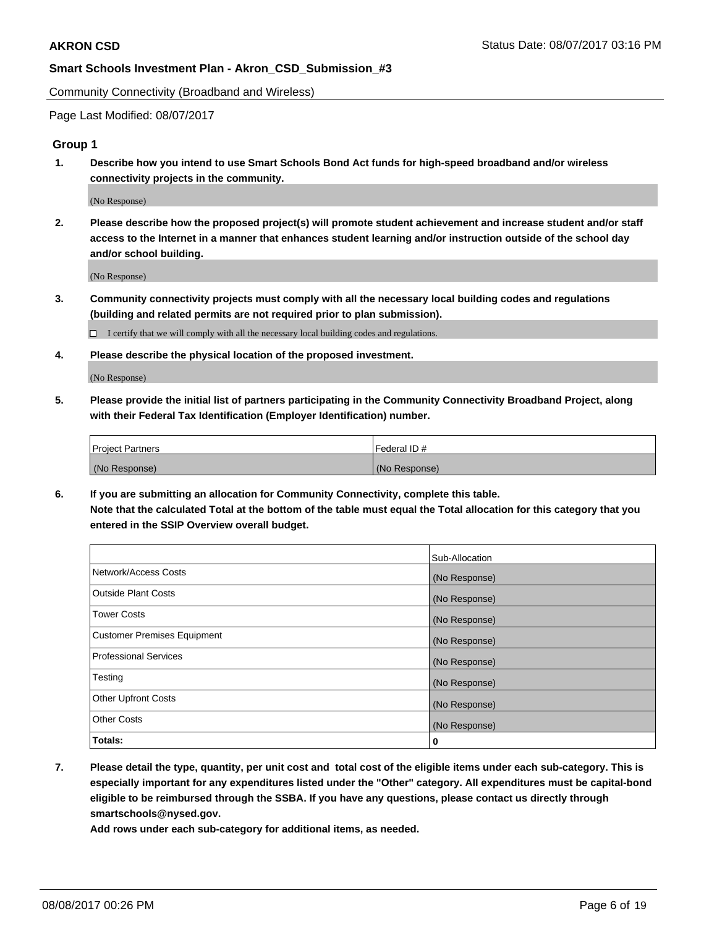Community Connectivity (Broadband and Wireless)

Page Last Modified: 08/07/2017

## **Group 1**

**1. Describe how you intend to use Smart Schools Bond Act funds for high-speed broadband and/or wireless connectivity projects in the community.**

(No Response)

**2. Please describe how the proposed project(s) will promote student achievement and increase student and/or staff access to the Internet in a manner that enhances student learning and/or instruction outside of the school day and/or school building.**

(No Response)

**3. Community connectivity projects must comply with all the necessary local building codes and regulations (building and related permits are not required prior to plan submission).**

 $\Box$  I certify that we will comply with all the necessary local building codes and regulations.

**4. Please describe the physical location of the proposed investment.**

(No Response)

**5. Please provide the initial list of partners participating in the Community Connectivity Broadband Project, along with their Federal Tax Identification (Employer Identification) number.**

| <b>Project Partners</b> | Federal ID#   |
|-------------------------|---------------|
| (No Response)           | (No Response) |

**6. If you are submitting an allocation for Community Connectivity, complete this table. Note that the calculated Total at the bottom of the table must equal the Total allocation for this category that you entered in the SSIP Overview overall budget.**

|                                    | Sub-Allocation |
|------------------------------------|----------------|
| Network/Access Costs               | (No Response)  |
| Outside Plant Costs                | (No Response)  |
| <b>Tower Costs</b>                 | (No Response)  |
| <b>Customer Premises Equipment</b> | (No Response)  |
| <b>Professional Services</b>       | (No Response)  |
| Testing                            | (No Response)  |
| <b>Other Upfront Costs</b>         | (No Response)  |
| <b>Other Costs</b>                 | (No Response)  |
| Totals:                            | 0              |

**7. Please detail the type, quantity, per unit cost and total cost of the eligible items under each sub-category. This is especially important for any expenditures listed under the "Other" category. All expenditures must be capital-bond eligible to be reimbursed through the SSBA. If you have any questions, please contact us directly through smartschools@nysed.gov.**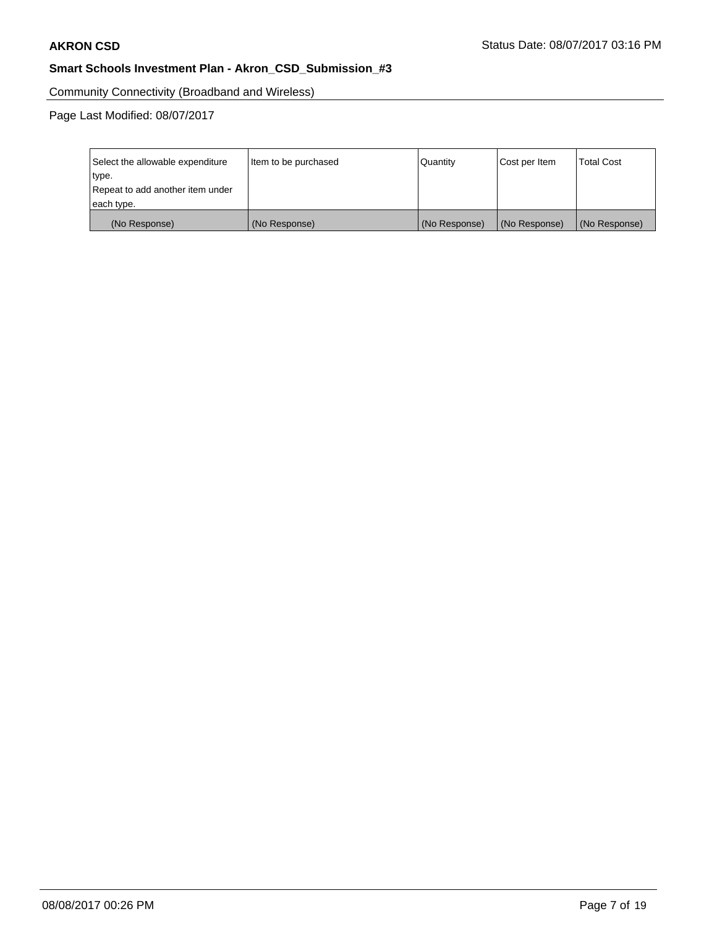Community Connectivity (Broadband and Wireless)

| Select the allowable expenditure | Item to be purchased | <b>Quantity</b> | Cost per Item | <b>Total Cost</b> |
|----------------------------------|----------------------|-----------------|---------------|-------------------|
| type.                            |                      |                 |               |                   |
| Repeat to add another item under |                      |                 |               |                   |
| each type.                       |                      |                 |               |                   |
| (No Response)                    | (No Response)        | (No Response)   | (No Response) | (No Response)     |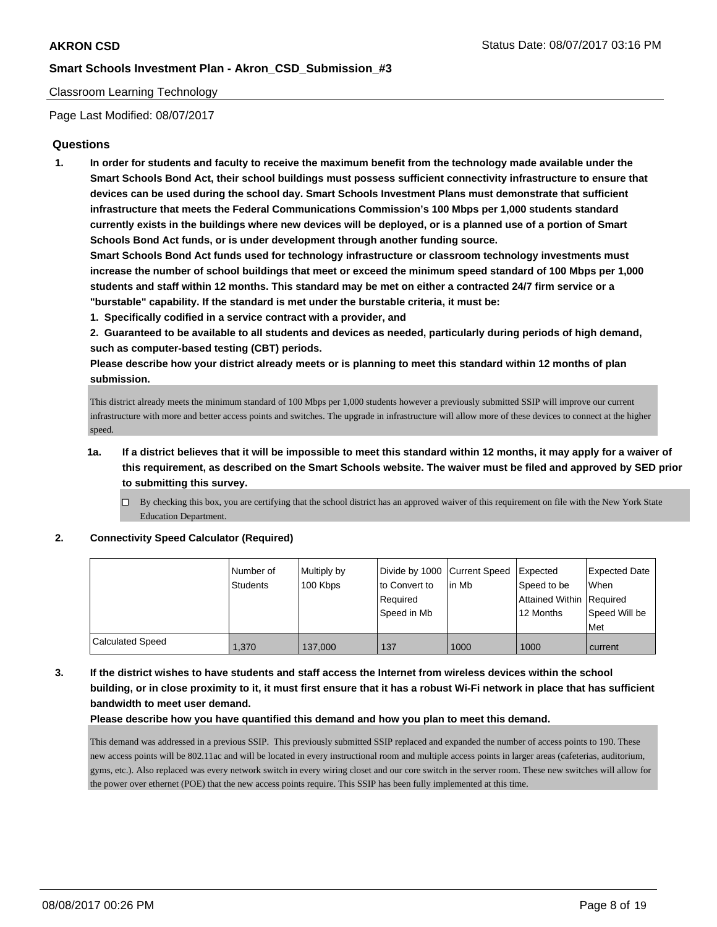#### Classroom Learning Technology

Page Last Modified: 08/07/2017

### **Questions**

**1. In order for students and faculty to receive the maximum benefit from the technology made available under the Smart Schools Bond Act, their school buildings must possess sufficient connectivity infrastructure to ensure that devices can be used during the school day. Smart Schools Investment Plans must demonstrate that sufficient infrastructure that meets the Federal Communications Commission's 100 Mbps per 1,000 students standard currently exists in the buildings where new devices will be deployed, or is a planned use of a portion of Smart Schools Bond Act funds, or is under development through another funding source.**

**Smart Schools Bond Act funds used for technology infrastructure or classroom technology investments must increase the number of school buildings that meet or exceed the minimum speed standard of 100 Mbps per 1,000 students and staff within 12 months. This standard may be met on either a contracted 24/7 firm service or a "burstable" capability. If the standard is met under the burstable criteria, it must be:**

**1. Specifically codified in a service contract with a provider, and**

**2. Guaranteed to be available to all students and devices as needed, particularly during periods of high demand, such as computer-based testing (CBT) periods.**

**Please describe how your district already meets or is planning to meet this standard within 12 months of plan submission.**

This district already meets the minimum standard of 100 Mbps per 1,000 students however a previously submitted SSIP will improve our current infrastructure with more and better access points and switches. The upgrade in infrastructure will allow more of these devices to connect at the higher speed.

- **1a. If a district believes that it will be impossible to meet this standard within 12 months, it may apply for a waiver of this requirement, as described on the Smart Schools website. The waiver must be filed and approved by SED prior to submitting this survey.**
	- $\Box$  By checking this box, you are certifying that the school district has an approved waiver of this requirement on file with the New York State Education Department.

**2. Connectivity Speed Calculator (Required)**

|                         | Number of<br>Students | Multiply by<br>100 Kbps | Divide by 1000 Current Speed<br>to Convert to<br>Required<br>Speed in Mb | lin Mb | Expected<br>Speed to be<br>Attained Within Required<br>12 Months | Expected Date<br><b>When</b><br>Speed Will be<br>Met |
|-------------------------|-----------------------|-------------------------|--------------------------------------------------------------------------|--------|------------------------------------------------------------------|------------------------------------------------------|
| <b>Calculated Speed</b> | 1,370                 | 137,000                 | 137                                                                      | 1000   | 1000                                                             | current                                              |

**3. If the district wishes to have students and staff access the Internet from wireless devices within the school building, or in close proximity to it, it must first ensure that it has a robust Wi-Fi network in place that has sufficient bandwidth to meet user demand.**

**Please describe how you have quantified this demand and how you plan to meet this demand.**

This demand was addressed in a previous SSIP. This previously submitted SSIP replaced and expanded the number of access points to 190. These new access points will be 802.11ac and will be located in every instructional room and multiple access points in larger areas (cafeterias, auditorium, gyms, etc.). Also replaced was every network switch in every wiring closet and our core switch in the server room. These new switches will allow for the power over ethernet (POE) that the new access points require. This SSIP has been fully implemented at this time.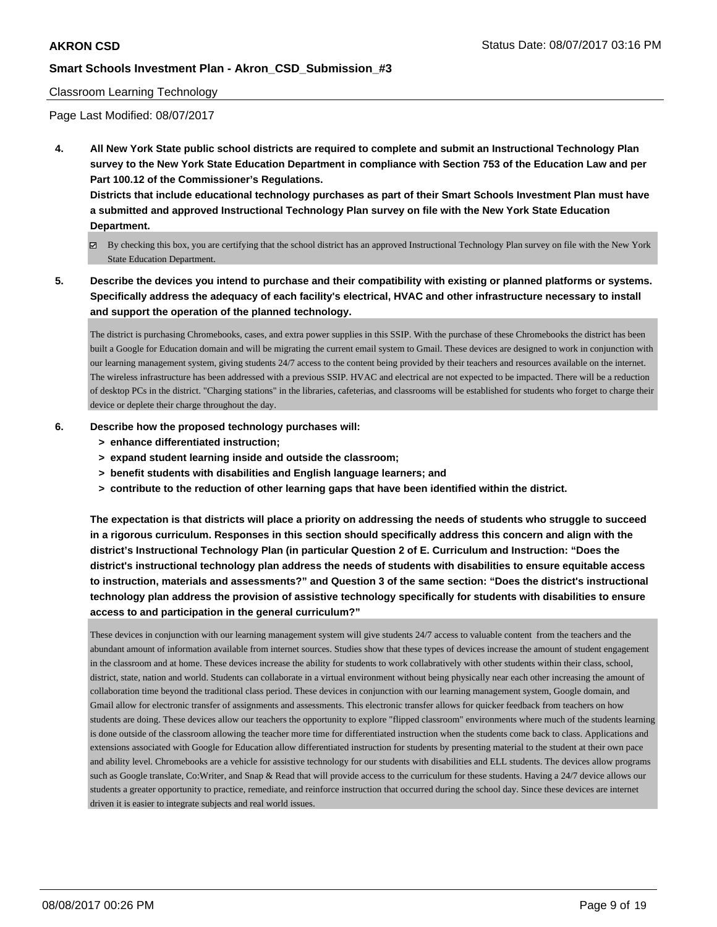#### Classroom Learning Technology

Page Last Modified: 08/07/2017

**4. All New York State public school districts are required to complete and submit an Instructional Technology Plan survey to the New York State Education Department in compliance with Section 753 of the Education Law and per Part 100.12 of the Commissioner's Regulations.**

**Districts that include educational technology purchases as part of their Smart Schools Investment Plan must have a submitted and approved Instructional Technology Plan survey on file with the New York State Education Department.**

- By checking this box, you are certifying that the school district has an approved Instructional Technology Plan survey on file with the New York State Education Department.
- **5. Describe the devices you intend to purchase and their compatibility with existing or planned platforms or systems. Specifically address the adequacy of each facility's electrical, HVAC and other infrastructure necessary to install and support the operation of the planned technology.**

The district is purchasing Chromebooks, cases, and extra power supplies in this SSIP. With the purchase of these Chromebooks the district has been built a Google for Education domain and will be migrating the current email system to Gmail. These devices are designed to work in conjunction with our learning management system, giving students 24/7 access to the content being provided by their teachers and resources available on the internet. The wireless infrastructure has been addressed with a previous SSIP. HVAC and electrical are not expected to be impacted. There will be a reduction of desktop PCs in the district. "Charging stations" in the libraries, cafeterias, and classrooms will be established for students who forget to charge their device or deplete their charge throughout the day.

#### **6. Describe how the proposed technology purchases will:**

- **> enhance differentiated instruction;**
- **> expand student learning inside and outside the classroom;**
- **> benefit students with disabilities and English language learners; and**
- **> contribute to the reduction of other learning gaps that have been identified within the district.**

**The expectation is that districts will place a priority on addressing the needs of students who struggle to succeed in a rigorous curriculum. Responses in this section should specifically address this concern and align with the district's Instructional Technology Plan (in particular Question 2 of E. Curriculum and Instruction: "Does the district's instructional technology plan address the needs of students with disabilities to ensure equitable access to instruction, materials and assessments?" and Question 3 of the same section: "Does the district's instructional technology plan address the provision of assistive technology specifically for students with disabilities to ensure access to and participation in the general curriculum?"**

These devices in conjunction with our learning management system will give students 24/7 access to valuable content from the teachers and the abundant amount of information available from internet sources. Studies show that these types of devices increase the amount of student engagement in the classroom and at home. These devices increase the ability for students to work collabratively with other students within their class, school, district, state, nation and world. Students can collaborate in a virtual environment without being physically near each other increasing the amount of collaboration time beyond the traditional class period. These devices in conjunction with our learning management system, Google domain, and Gmail allow for electronic transfer of assignments and assessments. This electronic transfer allows for quicker feedback from teachers on how students are doing. These devices allow our teachers the opportunity to explore "flipped classroom" environments where much of the students learning is done outside of the classroom allowing the teacher more time for differentiated instruction when the students come back to class. Applications and extensions associated with Google for Education allow differentiated instruction for students by presenting material to the student at their own pace and ability level. Chromebooks are a vehicle for assistive technology for our students with disabilities and ELL students. The devices allow programs such as Google translate, Co:Writer, and Snap & Read that will provide access to the curriculum for these students. Having a 24/7 device allows our students a greater opportunity to practice, remediate, and reinforce instruction that occurred during the school day. Since these devices are internet driven it is easier to integrate subjects and real world issues.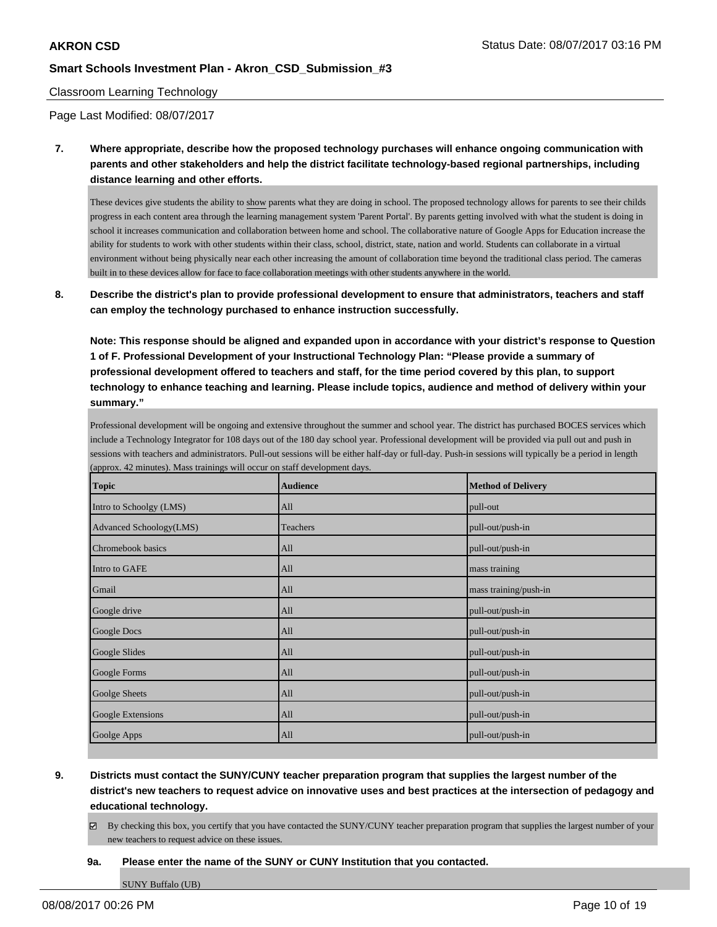#### Classroom Learning Technology

Page Last Modified: 08/07/2017

**7. Where appropriate, describe how the proposed technology purchases will enhance ongoing communication with parents and other stakeholders and help the district facilitate technology-based regional partnerships, including distance learning and other efforts.**

These devices give students the ability to show parents what they are doing in school. The proposed technology allows for parents to see their childs progress in each content area through the learning management system 'Parent Portal'. By parents getting involved with what the student is doing in school it increases communication and collaboration between home and school. The collaborative nature of Google Apps for Education increase the ability for students to work with other students within their class, school, district, state, nation and world. Students can collaborate in a virtual environment without being physically near each other increasing the amount of collaboration time beyond the traditional class period. The cameras built in to these devices allow for face to face collaboration meetings with other students anywhere in the world.

**8. Describe the district's plan to provide professional development to ensure that administrators, teachers and staff can employ the technology purchased to enhance instruction successfully.**

**Note: This response should be aligned and expanded upon in accordance with your district's response to Question 1 of F. Professional Development of your Instructional Technology Plan: "Please provide a summary of professional development offered to teachers and staff, for the time period covered by this plan, to support technology to enhance teaching and learning. Please include topics, audience and method of delivery within your summary."**

Professional development will be ongoing and extensive throughout the summer and school year. The district has purchased BOCES services which include a Technology Integrator for 108 days out of the 180 day school year. Professional development will be provided via pull out and push in sessions with teachers and administrators. Pull-out sessions will be either half-day or full-day. Push-in sessions will typically be a period in length (approx. 42 minutes). Mass trainings will occur on staff development days.

| Topic                   | <b>Audience</b> | <b>Method of Delivery</b> |
|-------------------------|-----------------|---------------------------|
| Intro to Schoolgy (LMS) | All             | pull-out                  |
| Advanced Schoology(LMS) | Teachers        | pull-out/push-in          |
| Chromebook basics       | All             | pull-out/push-in          |
| Intro to GAFE           | All             | mass training             |
| Gmail                   | All             | mass training/push-in     |
| Google drive            | All             | pull-out/push-in          |
| Google Docs             | All             | pull-out/push-in          |
| Google Slides           | All             | pull-out/push-in          |
| Google Forms            | All             | pull-out/push-in          |
| Goolge Sheets           | All             | pull-out/push-in          |
| Google Extensions       | All             | pull-out/push-in          |
| Goolge Apps             | All             | pull-out/push-in          |

- 
- **9. Districts must contact the SUNY/CUNY teacher preparation program that supplies the largest number of the district's new teachers to request advice on innovative uses and best practices at the intersection of pedagogy and educational technology.**
	- By checking this box, you certify that you have contacted the SUNY/CUNY teacher preparation program that supplies the largest number of your new teachers to request advice on these issues.
	- **9a. Please enter the name of the SUNY or CUNY Institution that you contacted.**

SUNY Buffalo (UB)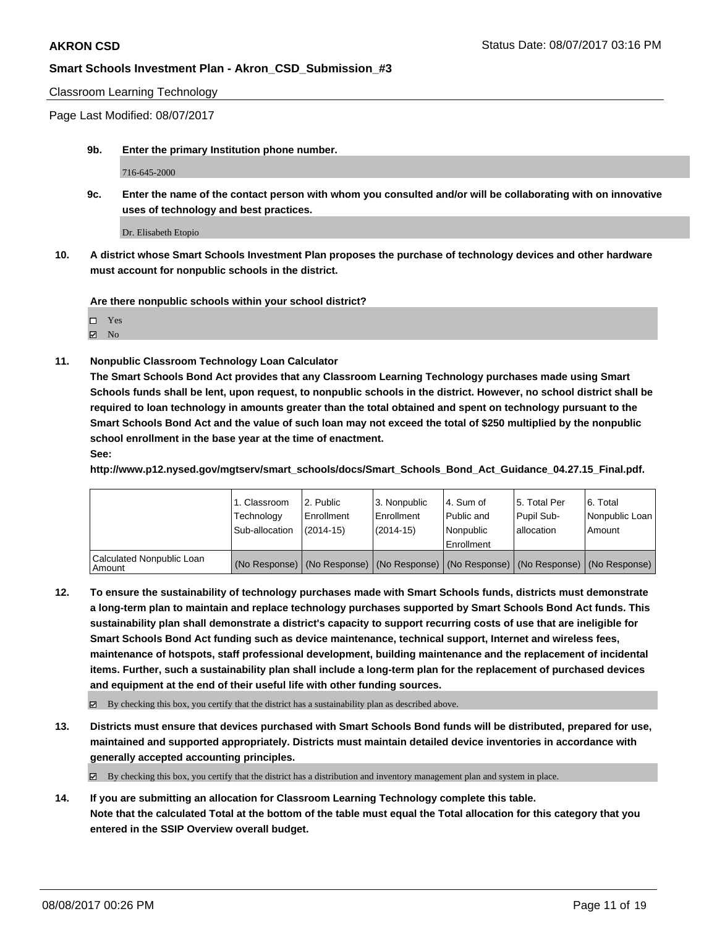Classroom Learning Technology

Page Last Modified: 08/07/2017

**9b. Enter the primary Institution phone number.**

716-645-2000

**9c. Enter the name of the contact person with whom you consulted and/or will be collaborating with on innovative uses of technology and best practices.**

Dr. Elisabeth Etopio

**10. A district whose Smart Schools Investment Plan proposes the purchase of technology devices and other hardware must account for nonpublic schools in the district.**

**Are there nonpublic schools within your school district?**

Yes **Z** No

**11. Nonpublic Classroom Technology Loan Calculator**

**The Smart Schools Bond Act provides that any Classroom Learning Technology purchases made using Smart Schools funds shall be lent, upon request, to nonpublic schools in the district. However, no school district shall be required to loan technology in amounts greater than the total obtained and spent on technology pursuant to the Smart Schools Bond Act and the value of such loan may not exceed the total of \$250 multiplied by the nonpublic school enrollment in the base year at the time of enactment.**

**See:**

**http://www.p12.nysed.gov/mgtserv/smart\_schools/docs/Smart\_Schools\_Bond\_Act\_Guidance\_04.27.15\_Final.pdf.**

|                                       | 1. Classroom<br>Technology<br>Sub-allocation | 12. Public<br>l Enrollment<br>$(2014 - 15)$ | 3. Nonpublic<br>Enrollment<br>(2014-15) | l 4. Sum of<br>l Public and<br>l Nonpublic<br>l Enrollment | 15. Total Per<br>Pupil Sub-<br>allocation | 6. Total<br>Nonpublic Loan<br>Amount                                                          |
|---------------------------------------|----------------------------------------------|---------------------------------------------|-----------------------------------------|------------------------------------------------------------|-------------------------------------------|-----------------------------------------------------------------------------------------------|
| Calculated Nonpublic Loan<br>  Amount |                                              |                                             |                                         |                                                            |                                           | (No Response)   (No Response)   (No Response)   (No Response)   (No Response)   (No Response) |

**12. To ensure the sustainability of technology purchases made with Smart Schools funds, districts must demonstrate a long-term plan to maintain and replace technology purchases supported by Smart Schools Bond Act funds. This sustainability plan shall demonstrate a district's capacity to support recurring costs of use that are ineligible for Smart Schools Bond Act funding such as device maintenance, technical support, Internet and wireless fees, maintenance of hotspots, staff professional development, building maintenance and the replacement of incidental items. Further, such a sustainability plan shall include a long-term plan for the replacement of purchased devices and equipment at the end of their useful life with other funding sources.**

 $\boxtimes$  By checking this box, you certify that the district has a sustainability plan as described above.

**13. Districts must ensure that devices purchased with Smart Schools Bond funds will be distributed, prepared for use, maintained and supported appropriately. Districts must maintain detailed device inventories in accordance with generally accepted accounting principles.**

By checking this box, you certify that the district has a distribution and inventory management plan and system in place.

**14. If you are submitting an allocation for Classroom Learning Technology complete this table. Note that the calculated Total at the bottom of the table must equal the Total allocation for this category that you entered in the SSIP Overview overall budget.**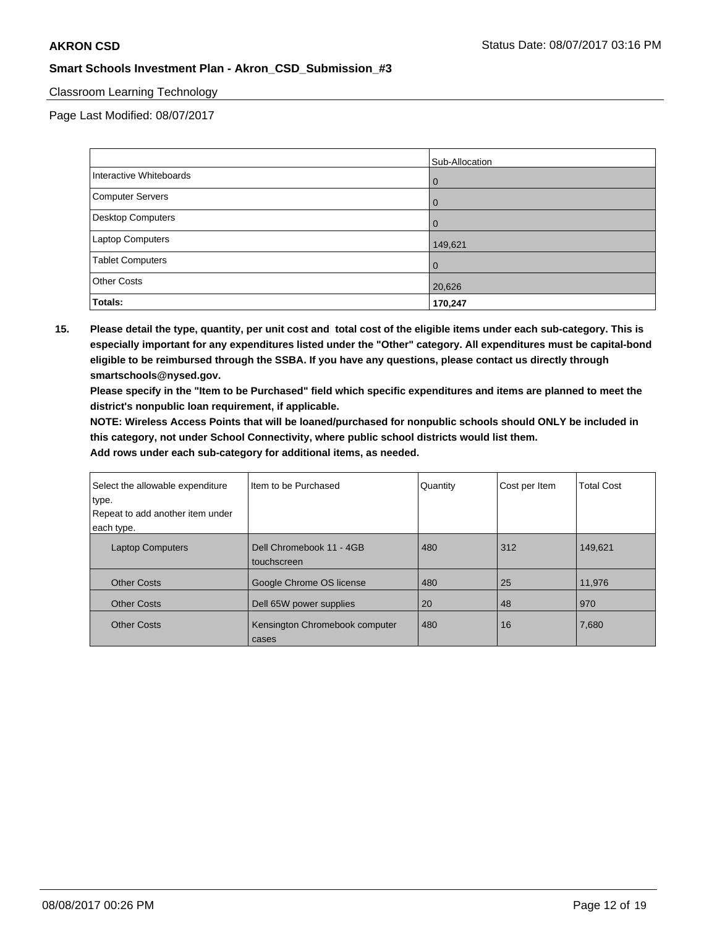### Classroom Learning Technology

Page Last Modified: 08/07/2017

|                         | Sub-Allocation |
|-------------------------|----------------|
| Interactive Whiteboards | 0              |
| Computer Servers        |                |
| Desktop Computers       | $\Omega$       |
| Laptop Computers        | 149,621        |
| <b>Tablet Computers</b> | 0              |
| <b>Other Costs</b>      | 20,626         |
| Totals:                 | 170,247        |

**15. Please detail the type, quantity, per unit cost and total cost of the eligible items under each sub-category. This is especially important for any expenditures listed under the "Other" category. All expenditures must be capital-bond eligible to be reimbursed through the SSBA. If you have any questions, please contact us directly through smartschools@nysed.gov.**

**Please specify in the "Item to be Purchased" field which specific expenditures and items are planned to meet the district's nonpublic loan requirement, if applicable.**

**NOTE: Wireless Access Points that will be loaned/purchased for nonpublic schools should ONLY be included in this category, not under School Connectivity, where public school districts would list them.**

| Select the allowable expenditure<br>type. | Iltem to be Purchased                   | Quantity | Cost per Item | <b>Total Cost</b> |
|-------------------------------------------|-----------------------------------------|----------|---------------|-------------------|
| Repeat to add another item under          |                                         |          |               |                   |
| each type.                                |                                         |          |               |                   |
| <b>Laptop Computers</b>                   | Dell Chromebook 11 - 4GB<br>touchscreen | 480      | 312           | 149,621           |
| <b>Other Costs</b>                        | Google Chrome OS license                | 480      | 25            | 11,976            |
| <b>Other Costs</b>                        | Dell 65W power supplies                 | 20       | 48            | 970               |
| <b>Other Costs</b>                        | Kensington Chromebook computer<br>cases | 480      | 16            | 7,680             |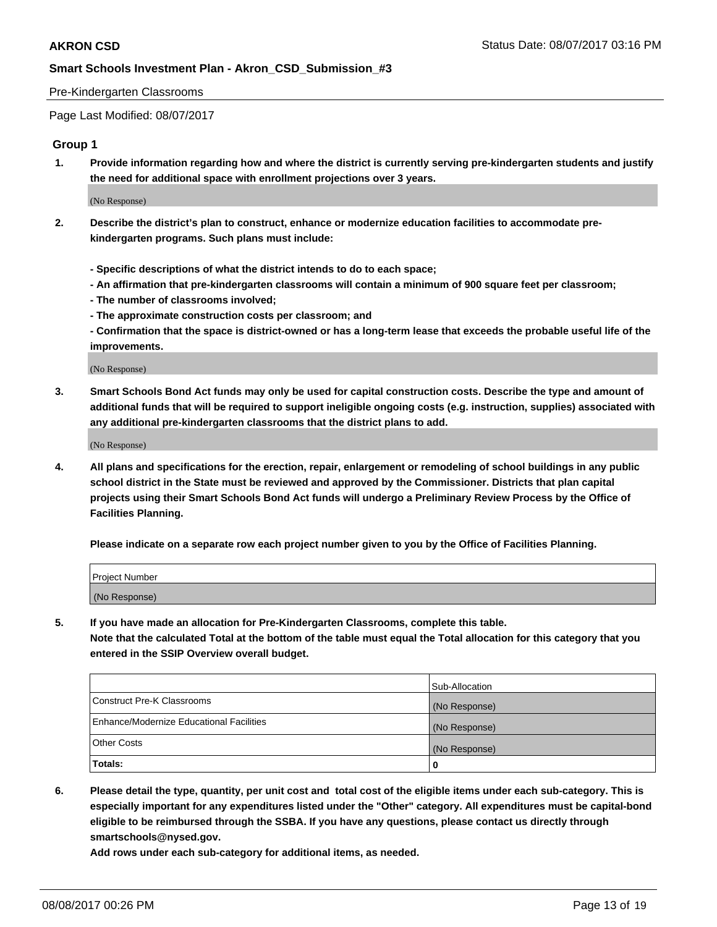#### Pre-Kindergarten Classrooms

Page Last Modified: 08/07/2017

## **Group 1**

**1. Provide information regarding how and where the district is currently serving pre-kindergarten students and justify the need for additional space with enrollment projections over 3 years.**

(No Response)

- **2. Describe the district's plan to construct, enhance or modernize education facilities to accommodate prekindergarten programs. Such plans must include:**
	- **Specific descriptions of what the district intends to do to each space;**
	- **An affirmation that pre-kindergarten classrooms will contain a minimum of 900 square feet per classroom;**
	- **The number of classrooms involved;**
	- **The approximate construction costs per classroom; and**
	- **Confirmation that the space is district-owned or has a long-term lease that exceeds the probable useful life of the improvements.**

(No Response)

**3. Smart Schools Bond Act funds may only be used for capital construction costs. Describe the type and amount of additional funds that will be required to support ineligible ongoing costs (e.g. instruction, supplies) associated with any additional pre-kindergarten classrooms that the district plans to add.**

(No Response)

**4. All plans and specifications for the erection, repair, enlargement or remodeling of school buildings in any public school district in the State must be reviewed and approved by the Commissioner. Districts that plan capital projects using their Smart Schools Bond Act funds will undergo a Preliminary Review Process by the Office of Facilities Planning.**

**Please indicate on a separate row each project number given to you by the Office of Facilities Planning.**

| Project Number |  |
|----------------|--|
| (No Response)  |  |

**5. If you have made an allocation for Pre-Kindergarten Classrooms, complete this table. Note that the calculated Total at the bottom of the table must equal the Total allocation for this category that you entered in the SSIP Overview overall budget.**

| Totals:                                  | 0              |
|------------------------------------------|----------------|
| Other Costs                              | (No Response)  |
| Enhance/Modernize Educational Facilities | (No Response)  |
| Construct Pre-K Classrooms               | (No Response)  |
|                                          | Sub-Allocation |

**6. Please detail the type, quantity, per unit cost and total cost of the eligible items under each sub-category. This is especially important for any expenditures listed under the "Other" category. All expenditures must be capital-bond eligible to be reimbursed through the SSBA. If you have any questions, please contact us directly through smartschools@nysed.gov.**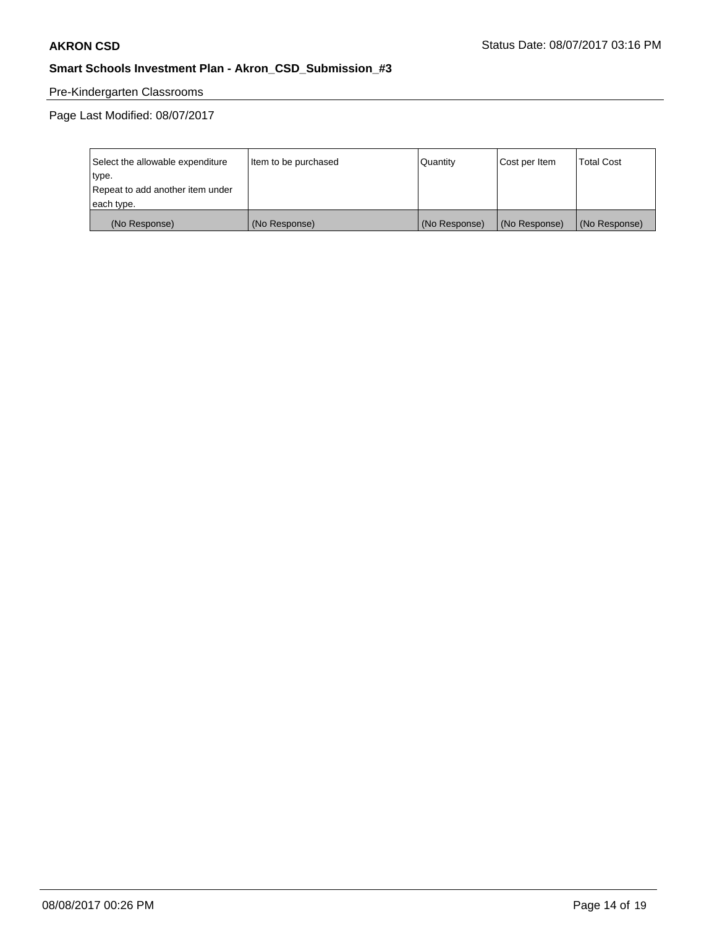## Pre-Kindergarten Classrooms

| Select the allowable expenditure | Item to be purchased | Quantity      | Cost per Item | <b>Total Cost</b> |
|----------------------------------|----------------------|---------------|---------------|-------------------|
| type.                            |                      |               |               |                   |
| Repeat to add another item under |                      |               |               |                   |
| each type.                       |                      |               |               |                   |
| (No Response)                    | (No Response)        | (No Response) | (No Response) | (No Response)     |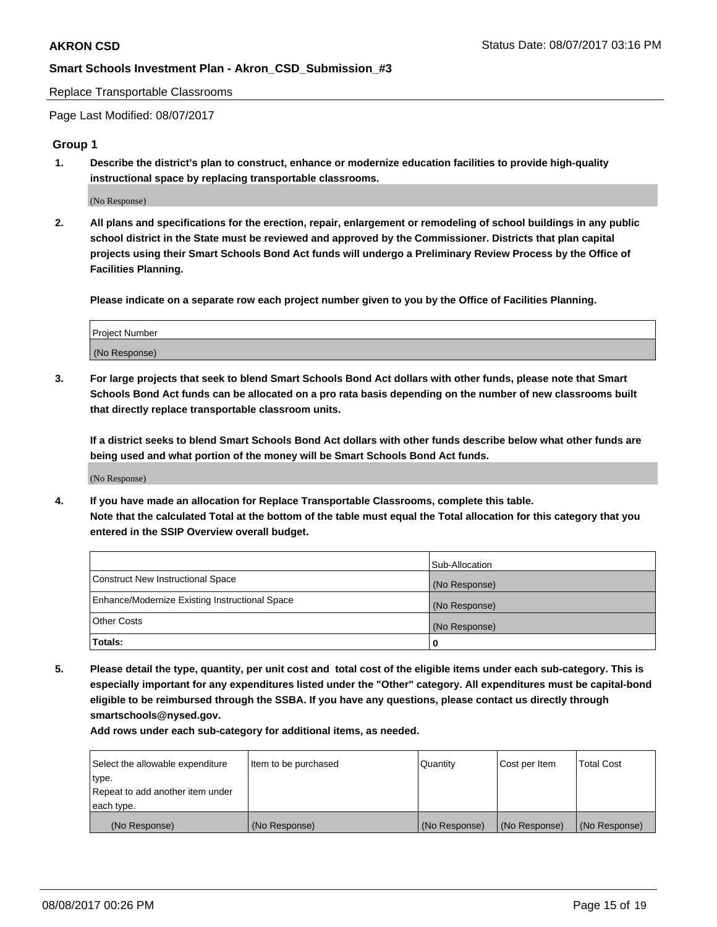Replace Transportable Classrooms

Page Last Modified: 08/07/2017

#### **Group 1**

**1. Describe the district's plan to construct, enhance or modernize education facilities to provide high-quality instructional space by replacing transportable classrooms.**

(No Response)

**2. All plans and specifications for the erection, repair, enlargement or remodeling of school buildings in any public school district in the State must be reviewed and approved by the Commissioner. Districts that plan capital projects using their Smart Schools Bond Act funds will undergo a Preliminary Review Process by the Office of Facilities Planning.**

**Please indicate on a separate row each project number given to you by the Office of Facilities Planning.**

| Project Number |  |
|----------------|--|
| (No Response)  |  |

**3. For large projects that seek to blend Smart Schools Bond Act dollars with other funds, please note that Smart Schools Bond Act funds can be allocated on a pro rata basis depending on the number of new classrooms built that directly replace transportable classroom units.**

**If a district seeks to blend Smart Schools Bond Act dollars with other funds describe below what other funds are being used and what portion of the money will be Smart Schools Bond Act funds.**

(No Response)

**4. If you have made an allocation for Replace Transportable Classrooms, complete this table. Note that the calculated Total at the bottom of the table must equal the Total allocation for this category that you entered in the SSIP Overview overall budget.**

|                                                | Sub-Allocation |
|------------------------------------------------|----------------|
| Construct New Instructional Space              | (No Response)  |
| Enhance/Modernize Existing Instructional Space | (No Response)  |
| Other Costs                                    | (No Response)  |
| Totals:                                        | $\Omega$       |

**5. Please detail the type, quantity, per unit cost and total cost of the eligible items under each sub-category. This is especially important for any expenditures listed under the "Other" category. All expenditures must be capital-bond eligible to be reimbursed through the SSBA. If you have any questions, please contact us directly through smartschools@nysed.gov.**

| Select the allowable expenditure | Item to be purchased | Quantity      | Cost per Item | <b>Total Cost</b> |
|----------------------------------|----------------------|---------------|---------------|-------------------|
| type.                            |                      |               |               |                   |
| Repeat to add another item under |                      |               |               |                   |
| each type.                       |                      |               |               |                   |
| (No Response)                    | (No Response)        | (No Response) | (No Response) | (No Response)     |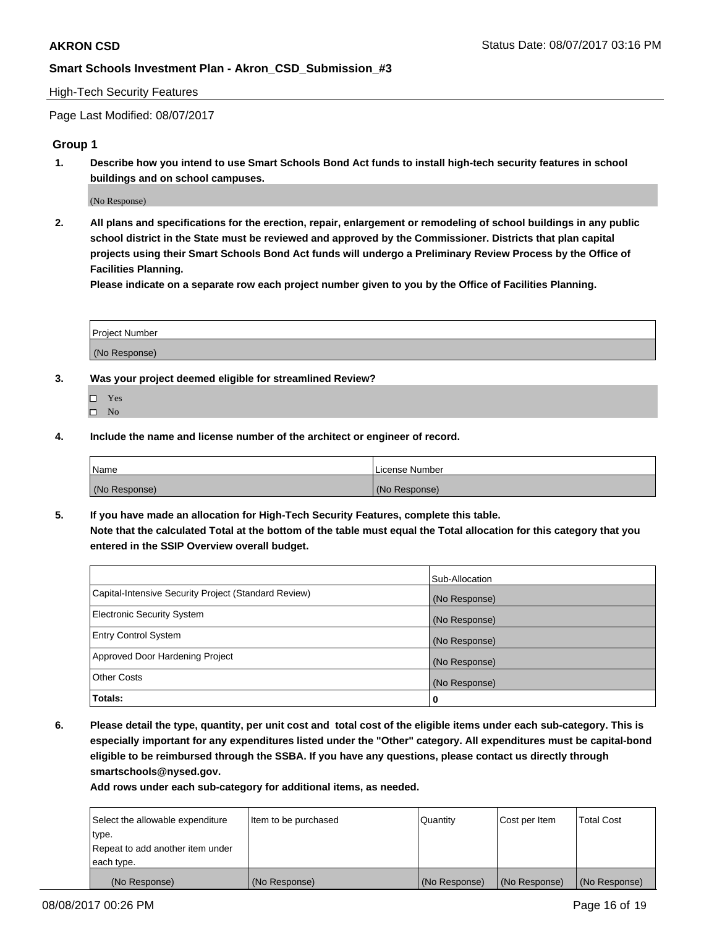#### High-Tech Security Features

Page Last Modified: 08/07/2017

## **Group 1**

**1. Describe how you intend to use Smart Schools Bond Act funds to install high-tech security features in school buildings and on school campuses.**

(No Response)

**2. All plans and specifications for the erection, repair, enlargement or remodeling of school buildings in any public school district in the State must be reviewed and approved by the Commissioner. Districts that plan capital projects using their Smart Schools Bond Act funds will undergo a Preliminary Review Process by the Office of Facilities Planning.** 

**Please indicate on a separate row each project number given to you by the Office of Facilities Planning.**

| <b>Project Number</b> |  |
|-----------------------|--|
|                       |  |
| (No Response)         |  |

- **3. Was your project deemed eligible for streamlined Review?**
	- Yes  $\hfill \square$  No
- **4. Include the name and license number of the architect or engineer of record.**

| Name          | l License Number |
|---------------|------------------|
| (No Response) | (No Response)    |

**5. If you have made an allocation for High-Tech Security Features, complete this table. Note that the calculated Total at the bottom of the table must equal the Total allocation for this category that you entered in the SSIP Overview overall budget.**

|                                                      | Sub-Allocation |
|------------------------------------------------------|----------------|
| Capital-Intensive Security Project (Standard Review) | (No Response)  |
| Electronic Security System                           | (No Response)  |
| <b>Entry Control System</b>                          | (No Response)  |
| Approved Door Hardening Project                      | (No Response)  |
| <b>Other Costs</b>                                   | (No Response)  |
| Totals:                                              | 0              |

**6. Please detail the type, quantity, per unit cost and total cost of the eligible items under each sub-category. This is especially important for any expenditures listed under the "Other" category. All expenditures must be capital-bond eligible to be reimbursed through the SSBA. If you have any questions, please contact us directly through smartschools@nysed.gov.**

| Select the allowable expenditure | Item to be purchased | Quantity      | Cost per Item | <b>Total Cost</b> |
|----------------------------------|----------------------|---------------|---------------|-------------------|
| type.                            |                      |               |               |                   |
| Repeat to add another item under |                      |               |               |                   |
| each type.                       |                      |               |               |                   |
| (No Response)                    | (No Response)        | (No Response) | (No Response) | (No Response)     |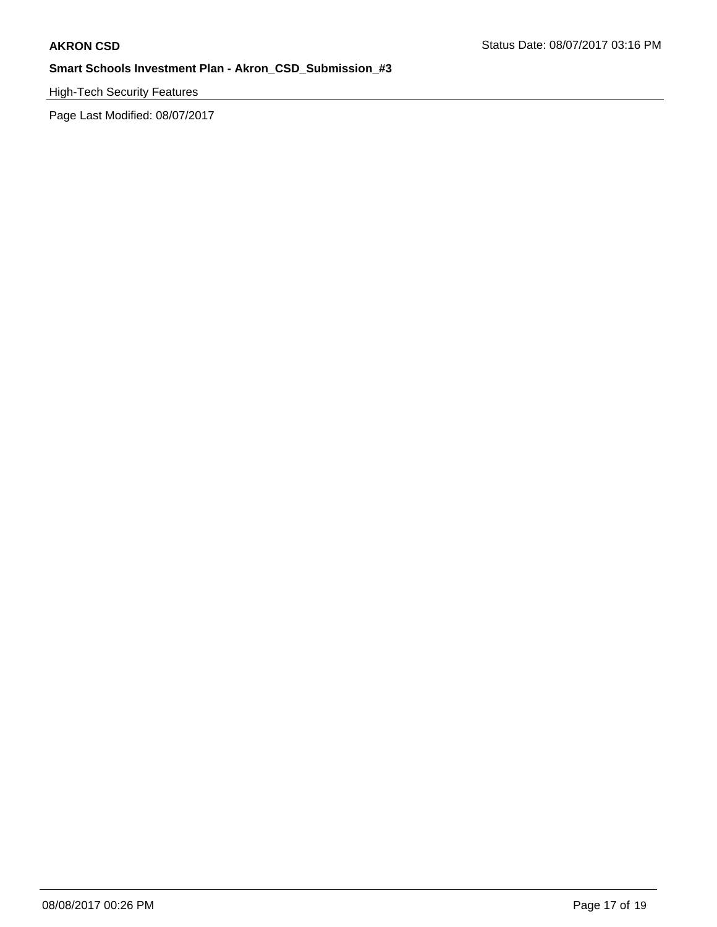High-Tech Security Features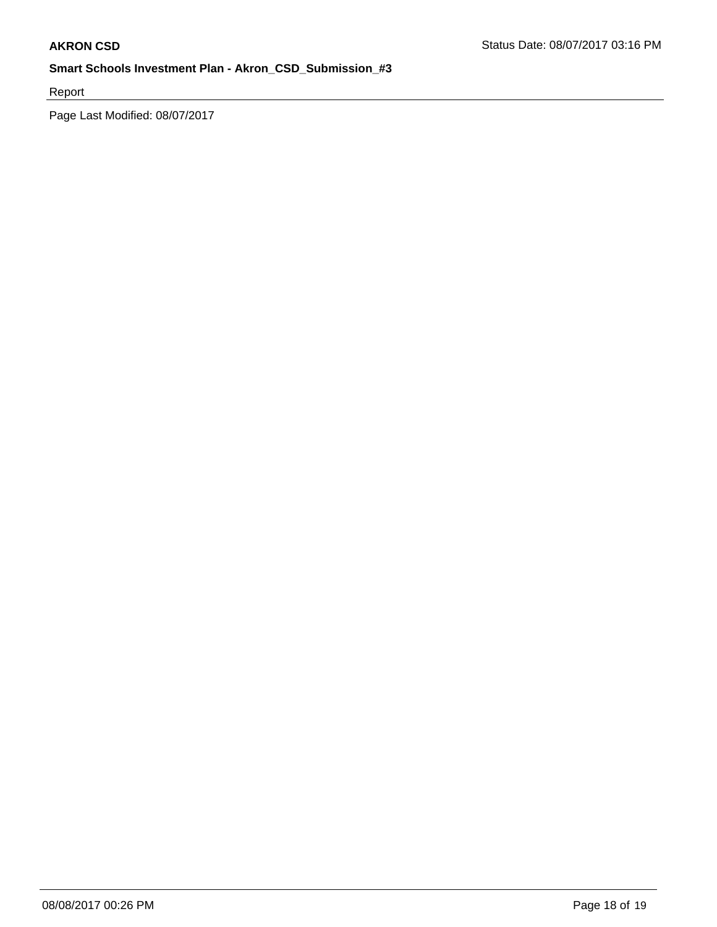Report